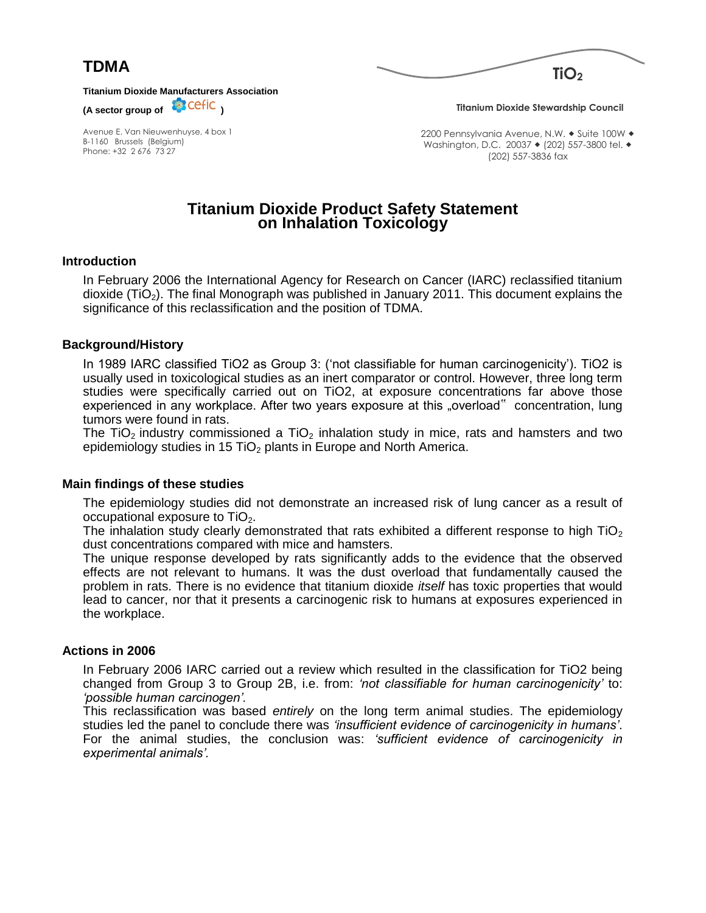



**Titanium Dioxide Manufacturers Association**

(A sector group of **CEFIC**)

Avenue E. Van Nieuwenhuyse, 4 box 1 B-1160 Brussels (Belgium) Phone: +32 2 676 73 27

**Titanium Dioxide Stewardship Council**

2200 Pennsylvania Avenue, N.W. • Suite 100W • Washington, D.C. 20037 • (202) 557-3800 tel. • (202) 557-3836 fax

# **Titanium Dioxide Product Safety Statement on Inhalation Toxicology**

## **Introduction**

In February 2006 the International Agency for Research on Cancer (IARC) reclassified titanium dioxide (TiO2). The final Monograph was published in January 2011. This document explains the significance of this reclassification and the position of TDMA.

## **Background/History**

In 1989 IARC classified TiO2 as Group 3: ('not classifiable for human carcinogenicity'). TiO2 is usually used in toxicological studies as an inert comparator or control. However, three long term studies were specifically carried out on TiO2, at exposure concentrations far above those experienced in any workplace. After two years exposure at this "overload" concentration, lung tumors were found in rats.

The TiO<sub>2</sub> industry commissioned a TiO<sub>2</sub> inhalation study in mice, rats and hamsters and two epidemiology studies in 15 TiO<sub>2</sub> plants in Europe and North America.

#### **Main findings of these studies**

The epidemiology studies did not demonstrate an increased risk of lung cancer as a result of occupational exposure to  $TiO<sub>2</sub>$ .

The inhalation study clearly demonstrated that rats exhibited a different response to high  $TiO<sub>2</sub>$ dust concentrations compared with mice and hamsters.

The unique response developed by rats significantly adds to the evidence that the observed effects are not relevant to humans. It was the dust overload that fundamentally caused the problem in rats. There is no evidence that titanium dioxide *itself* has toxic properties that would lead to cancer, nor that it presents a carcinogenic risk to humans at exposures experienced in the workplace.

#### **Actions in 2006**

In February 2006 IARC carried out a review which resulted in the classification for TiO2 being changed from Group 3 to Group 2B, i.e. from: *'not classifiable for human carcinogenicity'* to: *'possible human carcinogen'.*

This reclassification was based *entirely* on the long term animal studies. The epidemiology studies led the panel to conclude there was *'insufficient evidence of carcinogenicity in humans'*. For the animal studies, the conclusion was: *'sufficient evidence of carcinogenicity in experimental animals'.*